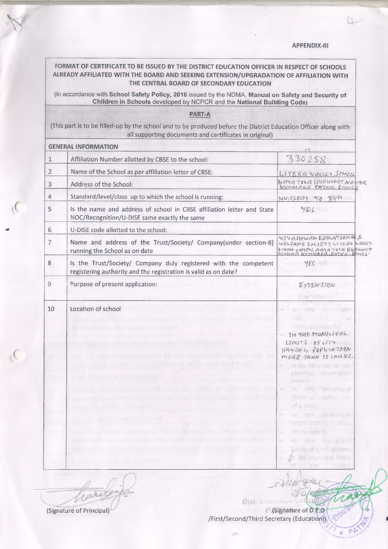**APPENDIX-III**

## **FORMAT OF CERTIFICATE TO BE ISSUED BY THE DISTRICT EDUCATION OFFICER IN RESPECT OF SCHOOLS ALREADY AFFILIATED WITH THE BOARD AND SEEKING EXTENSION/UPGRADATION OF AFFILIATION WITH THE CENTRAL BOARD OF SECONDARY EDUCATION**

 $V = 0$ 

(In accordance with **School Safety Policy, 2016** issued by the NDMA, **Manual on Safety and Security of \_\_\_\_\_\_\_\_\_\_\_\_\_\_\_\_\_ Children in Schools** developed by NCPCR and the **National Building Code)\_\_\_\_\_\_\_\_\_\_\_\_\_\_\_\_\_**

## **PART-A**

(This part is to be filled-up by the school and to be produced before the District Education Officer along with all supporting documents and certificates in original)

| <b>GENERAL INFORMATION</b>                                                                                                               | $g - i$                                                                                                                                                                                                                                                                                                       |
|------------------------------------------------------------------------------------------------------------------------------------------|---------------------------------------------------------------------------------------------------------------------------------------------------------------------------------------------------------------------------------------------------------------------------------------------------------------|
| Affiliation Number allotted by CBSE to the school:<br>1                                                                                  | 330258                                                                                                                                                                                                                                                                                                        |
| 2<br>Name of the School as per affiliation letter of CBSE:                                                                               | LITERA VALLEY SCHOOL                                                                                                                                                                                                                                                                                          |
| 3<br>Address of the School:                                                                                                              | NAYA TELA BHAWHAT NAVAR<br>KUMHAAR PATNA ROBELL                                                                                                                                                                                                                                                               |
| Standard/level/class up to which the school is running:<br>4                                                                             | NURSERY TO XITH                                                                                                                                                                                                                                                                                               |
| Is the name and address of school in CBSE affiliation letter and State<br>5<br>NOC/Recognition/U-DISE same exactly the same              | YES/NU                                                                                                                                                                                                                                                                                                        |
| 6<br>U-DISE code allotted to the school:                                                                                                 |                                                                                                                                                                                                                                                                                                               |
| 7<br>Name and address of the Trust/Society/ Company(under section-8)<br>running the School as on date                                    | VIVASHWANEDUCATIONALS<br>WELFARE SOCIETY LITERA VALUY<br>SCHOOL LAMPES, NAYA TOLA BH NOWT                                                                                                                                                                                                                     |
| 8<br>Is the Trust/Society/ Company duly registered with the competent<br>registering authority and the registration is valid as on date? | YES                                                                                                                                                                                                                                                                                                           |
| 9<br>Purpose of present application:                                                                                                     | EXTENSTON                                                                                                                                                                                                                                                                                                     |
|                                                                                                                                          | <b>Wagnadarton</b>                                                                                                                                                                                                                                                                                            |
| 10<br>Location of school                                                                                                                 | - in the monotoxi<br><b>United States</b><br>$-1000$<br>metropoutarectty.<br>IN THE MUNICIPAL<br>LESHITS LOF CITY<br>HAVING YOPULATION<br>MORE THAN IS LANDS.<br>so the hill arises to be.<br>×<br>showing sound that<br>norms}<br>in the municipal<br>$\mathcal{N}$<br>Senite of cases a liter<br>of a Halls |
|                                                                                                                                          | in the municipal<br>and the first street<br>On an island<br>in the municipal<br>Umits of a hill st. You<br>The the musicipal fiests:                                                                                                                                                                          |

(Signature of Principal) (Signature of D.E.O. /First/Second/Third Secretary (Educati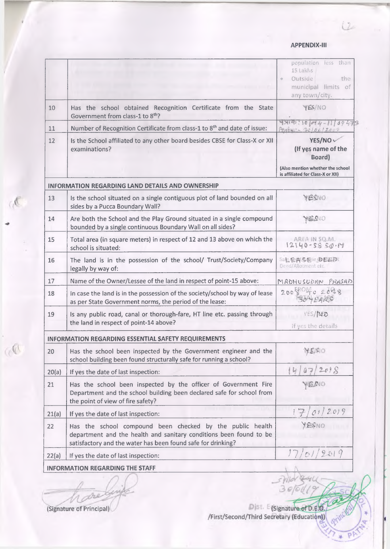$L^2$ 

|       |                                                                                                                                                                                                 | population less than<br>15 Lakhs<br>Outside.<br>the<br>municipal limits of<br>any town/city.                               |
|-------|-------------------------------------------------------------------------------------------------------------------------------------------------------------------------------------------------|----------------------------------------------------------------------------------------------------------------------------|
| 10    | Has the school obtained Recognition Certificate from the State<br>Government from class-1 to 8th?                                                                                               | YES/NO                                                                                                                     |
| 11    | Number of Recognition Certificate from class-1 to 8 <sup>th</sup> and date of issue:                                                                                                            | $9319:10044 - 11009473$<br>$B_2 + 3010612009$                                                                              |
| 12    | Is the School affiliated to any other board besides CBSE for Class-X or XII<br>examinations?                                                                                                    | YES/NO ~<br>(If yes name of the<br><b>Board</b> )<br>(Also mention whether the school<br>is affiliated for Class-X or XII) |
|       | <b>INFORMATION REGARDING LAND DETAILS AND OWNERSHIP</b>                                                                                                                                         |                                                                                                                            |
| 13    | Is the school situated on a single contiguous plot of land bounded on all<br>sides by a Pucca Boundary Wall?                                                                                    | YESNO                                                                                                                      |
| 14    | Are both the School and the Play Ground situated in a single compound<br>bounded by a single continuous Boundary Wall on all sides?                                                             | <b>OVESY</b>                                                                                                               |
| 15    | Total area (in square meters) in respect of 12 and 13 above on which the<br>school is situated:                                                                                                 | AREA IN SO.M.<br>$12140 - 5850 - 14$                                                                                       |
| 16    | The land is in the possession of the school/ Trust/Society/Company<br>legally by way of:                                                                                                        | 50日 它質多区に少数医りに<br>Deed/Allotment etc.                                                                                      |
| 17    | Name of the Owner/Lessee of the land in respect of point-15 above:                                                                                                                              | MADHUSUDAN PRASAD                                                                                                          |
| 18    | In case the land is in the possession of the society/school by way of lease<br>as per State Government norms, the period of the lease:                                                          | 20080402038                                                                                                                |
| 19    | Is any public road, canal or thorough-fare, HT line etc. passing through<br>the land in respect of point-14 above?                                                                              | YES/NO<br>If yes the details                                                                                               |
|       | <b>INFORMATION REGARDING ESSENTIAL SAFETY REQUIREMENTS</b>                                                                                                                                      |                                                                                                                            |
| 20    | Has the school been inspected by the Government engineer and the<br>school building been found structurally safe for running a school?                                                          | YESO                                                                                                                       |
| 20(a) | If yes the date of last inspection:                                                                                                                                                             | 2018                                                                                                                       |
| 21    | Has the school been inspected by the officer of Government Fire<br>Department and the school building been declared safe for school from<br>the point of view of fire safety?                   | <b>JS.MO</b>                                                                                                               |
| 21(a) | If yes the date of last inspection:                                                                                                                                                             | 2019<br>O <sub>2</sub>                                                                                                     |
| 22    | Has the school compound been checked by the public health<br>department and the health and sanitary conditions been found to be<br>satisfactory and the water has been found safe for drinking? | YESSNO                                                                                                                     |
| 22(a) | If yes the date of last inspection:                                                                                                                                                             | 17/01/2019                                                                                                                 |
|       | <b>INFORMATION REGARDING THE STAFF</b>                                                                                                                                                          |                                                                                                                            |

(Signature of Principal)

 $\mathcal{A}$ 

 $\alpha$ 

Dist. E (Signature of D.E.O.)<br>First/Second/Third Secretary (Education))

 $3e$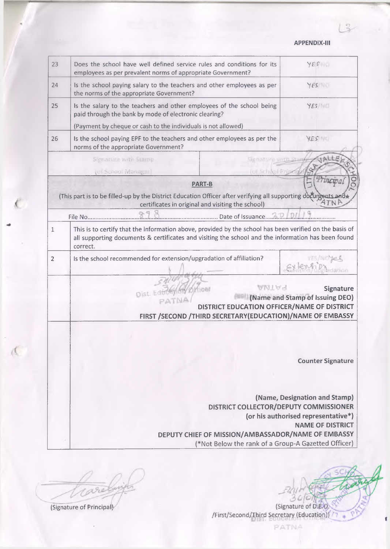**APPENDIX-III** 

| 23 |                                                                                                                                                                     |                     |                                                                                                                                |
|----|---------------------------------------------------------------------------------------------------------------------------------------------------------------------|---------------------|--------------------------------------------------------------------------------------------------------------------------------|
|    | Does the school have well defined service rules and conditions for its<br>employees as per prevalent norms of appropriate Government?                               |                     | YES                                                                                                                            |
| 24 | Is the school paying salary to the teachers and other employees as per<br>the norms of the appropriate Government?                                                  |                     | YES                                                                                                                            |
| 25 | Is the salary to the teachers and other employees of the school being<br>paid through the bank by mode of electronic clearing?                                      |                     | YES/NO                                                                                                                         |
|    | (Payment by cheque or cash to the individuals is not allowed)                                                                                                       |                     |                                                                                                                                |
| 26 | Is the school paying EPF to the teachers and other employees as per the<br>norms of the appropriate Government?                                                     |                     | YES NO                                                                                                                         |
|    | Signally P With String                                                                                                                                              | <b>MADALUMANITI</b> | JALLE                                                                                                                          |
|    | (of School Manager)                                                                                                                                                 | (of School Prize    |                                                                                                                                |
|    | <b>PART-B</b>                                                                                                                                                       |                     | Tincwa                                                                                                                         |
|    | (This part is to be filled-up by the District Education Officer after verifying all supporting documents and +<br>certificates in original and visiting the school) |                     |                                                                                                                                |
|    | Date of Issuance. 22<br>File No                                                                                                                                     |                     |                                                                                                                                |
|    | all supporting documents & certificates and visiting the school and the information has been found                                                                  |                     |                                                                                                                                |
|    | correct.                                                                                                                                                            |                     |                                                                                                                                |
| 2  | Is the school recommended for extension/upgradation of affiliation?                                                                                                 |                     |                                                                                                                                |
|    | Dist. Edb<br>PATN.<br>FIRST /SECOND / THIRD SECRETARY (EDUCATION) / NAME OF EMBASSY                                                                                 | AMTAS               |                                                                                                                                |
|    |                                                                                                                                                                     |                     |                                                                                                                                |
|    |                                                                                                                                                                     |                     | <b>Signature</b><br>(Name and Stamp of Issuing DEO)<br>DISTRICT EDUCATION OFFICER/NAME OF DISTRICT<br><b>Counter Signature</b> |
|    |                                                                                                                                                                     |                     | (Name, Designation and Stamp)                                                                                                  |
|    |                                                                                                                                                                     |                     | DISTRICT COLLECTOR/DEPUTY COMMISSIONER<br>(or his authorised representative*)<br><b>NAME OF DISTRICT</b>                       |

caret

(Signature of Principal)

Signature of D.E.O. /First/Second/Third Secretary (Education)) 77

PATNA